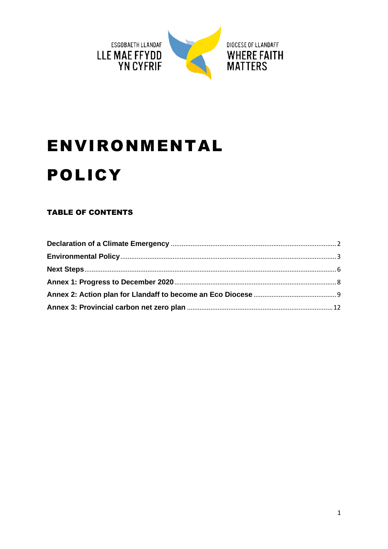

# **ENVIRONMENTAL POLICY**

#### **TABLE OF CONTENTS**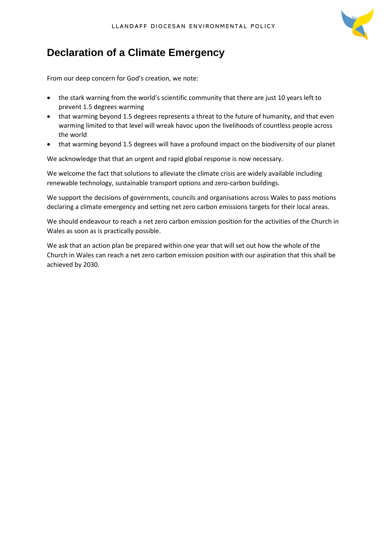

# <span id="page-1-0"></span>**Declaration of a Climate Emergency**

From our deep concern for God's creation, we note:

- the stark warning from the world's scientific community that there are just 10 years left to prevent 1.5 degrees warming
- that warming beyond 1.5 degrees represents a threat to the future of humanity, and that even warming limited to that level will wreak havoc upon the livelihoods of countless people across the world
- that warming beyond 1.5 degrees will have a profound impact on the biodiversity of our planet

We acknowledge that that an urgent and rapid global response is now necessary.

We welcome the fact that solutions to alleviate the climate crisis are widely available including renewable technology, sustainable transport options and zero-carbon buildings.

We support the decisions of governments, councils and organisations across Wales to pass motions declaring a climate emergency and setting net zero carbon emissions targets for their local areas.

We should endeavour to reach a net zero carbon emission position for the activities of the Church in Wales as soon as is practically possible.

We ask that an action plan be prepared within one year that will set out how the whole of the Church in Wales can reach a net zero carbon emission position with our aspiration that this shall be achieved by 2030.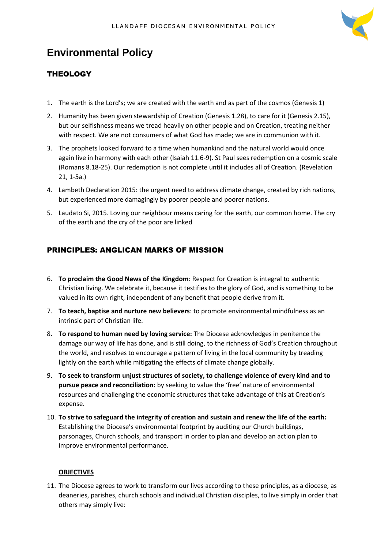

## <span id="page-2-0"></span>**Environmental Policy**

#### **THEOLOGY**

- 1. The earth is the Lord's; we are created with the earth and as part of the cosmos (Genesis 1)
- 2. Humanity has been given stewardship of Creation (Genesis 1.28), to care for it (Genesis 2.15), but our selfishness means we tread heavily on other people and on Creation, treating neither with respect. We are not consumers of what God has made; we are in communion with it.
- 3. The prophets looked forward to a time when humankind and the natural world would once again live in harmony with each other (Isaiah 11.6-9). St Paul sees redemption on a cosmic scale (Romans 8.18-25). Our redemption is not complete until it includes all of Creation. (Revelation 21, 1-5a.)
- 4. Lambeth Declaration 2015: the urgent need to address climate change, created by rich nations, but experienced more damagingly by poorer people and poorer nations.
- 5. Laudato Si, 2015. Loving our neighbour means caring for the earth, our common home. The cry of the earth and the cry of the poor are linked

#### PRINCIPLES: ANGLICAN MARKS OF MISSION

- 6. **To proclaim the Good News of the Kingdom**: Respect for Creation is integral to authentic Christian living. We celebrate it, because it testifies to the glory of God, and is something to be valued in its own right, independent of any benefit that people derive from it.
- 7. **To teach, baptise and nurture new believers**: to promote environmental mindfulness as an intrinsic part of Christian life.
- 8. **To respond to human need by loving service:** The Diocese acknowledges in penitence the damage our way of life has done, and is still doing, to the richness of God's Creation throughout the world, and resolves to encourage a pattern of living in the local community by treading lightly on the earth while mitigating the effects of climate change globally.
- 9. **To seek to transform unjust structures of society, to challenge violence of every kind and to pursue peace and reconciliation:** by seeking to value the 'free' nature of environmental resources and challenging the economic structures that take advantage of this at Creation's expense.
- 10. **To strive to safeguard the integrity of creation and sustain and renew the life of the earth:**  Establishing the Diocese's environmental footprint by auditing our Church buildings, parsonages, Church schools, and transport in order to plan and develop an action plan to improve environmental performance.

#### **OBJECTIVES**

11. The Diocese agrees to work to transform our lives according to these principles, as a diocese, as deaneries, parishes, church schools and individual Christian disciples, to live simply in order that others may simply live: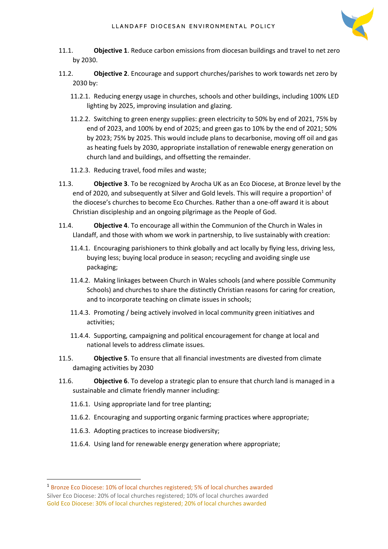

- 11.1. **Objective 1**. Reduce carbon emissions from diocesan buildings and travel to net zero by 2030.
- 11.2. **Objective 2**. Encourage and support churches/parishes to work towards net zero by 2030 by:
	- 11.2.1. Reducing energy usage in churches, schools and other buildings, including 100% LED lighting by 2025, improving insulation and glazing.
	- 11.2.2. Switching to green energy supplies: green electricity to 50% by end of 2021, 75% by end of 2023, and 100% by end of 2025; and green gas to 10% by the end of 2021; 50% by 2023; 75% by 2025. This would include plans to decarbonise, moving off oil and gas as heating fuels by 2030, appropriate installation of renewable energy generation on church land and buildings, and offsetting the remainder.
	- 11.2.3. Reducing travel, food miles and waste;
- 11.3. **Objective 3**. To be recognized by Arocha UK as an Eco Diocese, at Bronze level by the end of 2020, and subsequently at Silver and Gold levels. This will require a proportion<sup>1</sup> of the diocese's churches to become Eco Churches. Rather than a one-off award it is about Christian discipleship and an ongoing pilgrimage as the People of God.
- 11.4. **Objective 4**. To encourage all within the Communion of the Church in Wales in Llandaff, and those with whom we work in partnership, to live sustainably with creation:
	- 11.4.1. Encouraging parishioners to think globally and act locally by flying less, driving less, buying less; buying local produce in season; recycling and avoiding single use packaging;
	- 11.4.2. Making linkages between Church in Wales schools (and where possible Community Schools) and churches to share the distinctly Christian reasons for caring for creation, and to incorporate teaching on climate issues in schools;
	- 11.4.3. Promoting / being actively involved in local community green initiatives and activities;
	- 11.4.4. Supporting, campaigning and political encouragement for change at local and national levels to address climate issues.
- 11.5. **Objective 5**. To ensure that all financial investments are divested from climate damaging activities by 2030
- 11.6. **Objective 6**. To develop a strategic plan to ensure that church land is managed in a sustainable and climate friendly manner including:
	- 11.6.1. Using appropriate land for tree planting;
	- 11.6.2. Encouraging and supporting organic farming practices where appropriate;
	- 11.6.3. Adopting practices to increase biodiversity;
	- 11.6.4. Using land for renewable energy generation where appropriate;

<sup>1</sup> Bronze Eco Diocese: 10% of local churches registered; 5% of local churches awarded Silver Eco Diocese: 20% of local churches registered; 10% of local churches awarded Gold Eco Diocese: 30% of local churches registered; 20% of local churches awarded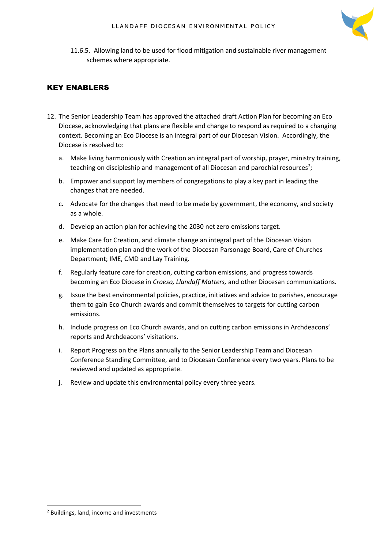

11.6.5. Allowing land to be used for flood mitigation and sustainable river management schemes where appropriate.

#### KEY ENABLERS

- 12. The Senior Leadership Team has approved the attached draft Action Plan for becoming an Eco Diocese, acknowledging that plans are flexible and change to respond as required to a changing context. Becoming an Eco Diocese is an integral part of our Diocesan Vision. Accordingly, the Diocese is resolved to:
	- a. Make living harmoniously with Creation an integral part of worship, prayer, ministry training, teaching on discipleship and management of all Diocesan and parochial resources<sup>2</sup>;
	- b. Empower and support lay members of congregations to play a key part in leading the changes that are needed.
	- c. Advocate for the changes that need to be made by government, the economy, and society as a whole.
	- d. Develop an action plan for achieving the 2030 net zero emissions target.
	- e. Make Care for Creation, and climate change an integral part of the Diocesan Vision implementation plan and the work of the Diocesan Parsonage Board, Care of Churches Department; IME, CMD and Lay Training.
	- f. Regularly feature care for creation, cutting carbon emissions, and progress towards becoming an Eco Diocese in *Croeso, Llandaff Matters,* and other Diocesan communications.
	- g. Issue the best environmental policies, practice, initiatives and advice to parishes, encourage them to gain Eco Church awards and commit themselves to targets for cutting carbon emissions.
	- h. Include progress on Eco Church awards, and on cutting carbon emissions in Archdeacons' reports and Archdeacons' visitations.
	- i. Report Progress on the Plans annually to the Senior Leadership Team and Diocesan Conference Standing Committee, and to Diocesan Conference every two years. Plans to be reviewed and updated as appropriate.
	- j. Review and update this environmental policy every three years.

<sup>2</sup> Buildings, land, income and investments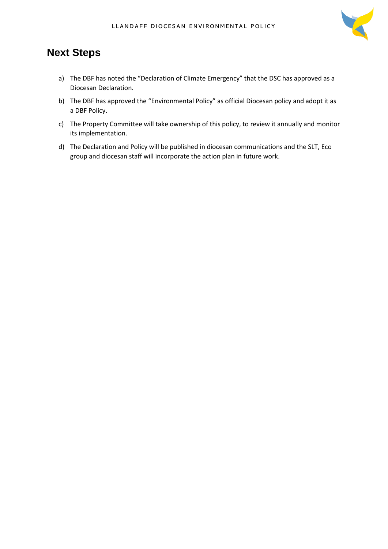

### <span id="page-5-0"></span>**Next Steps**

- a) The DBF has noted the "Declaration of Climate Emergency" that the DSC has approved as a Diocesan Declaration.
- b) The DBF has approved the "Environmental Policy" as official Diocesan policy and adopt it as a DBF Policy.
- c) The Property Committee will take ownership of this policy, to review it annually and monitor its implementation.
- d) The Declaration and Policy will be published in diocesan communications and the SLT, Eco group and diocesan staff will incorporate the action plan in future work.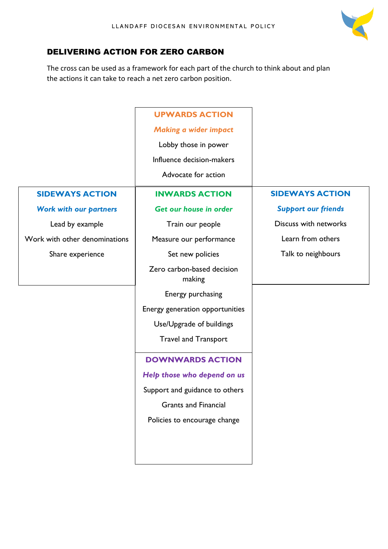

#### DELIVERING ACTION FOR ZERO CARBON

The cross can be used as a framework for each part of the church to think about and plan the actions it can take to reach a net zero carbon position.

|                               | <b>UPWARDS ACTION</b>                |                            |
|-------------------------------|--------------------------------------|----------------------------|
|                               | <b>Making a wider impact</b>         |                            |
|                               | Lobby those in power                 |                            |
|                               | Influence decision-makers            |                            |
|                               | Advocate for action                  |                            |
| <b>SIDEWAYS ACTION</b>        | <b>INWARDS ACTION</b>                | <b>SIDEWAYS ACTION</b>     |
| <b>Work with our partners</b> | Get our house in order               | <b>Support our friends</b> |
| Lead by example               | Train our people                     | Discuss with networks      |
| Work with other denominations | Measure our performance              | Learn from others          |
| Share experience              | Set new policies                     | Talk to neighbours         |
|                               | Zero carbon-based decision<br>making |                            |
|                               | Energy purchasing                    |                            |
|                               | Energy generation opportunities      |                            |
|                               | Use/Upgrade of buildings             |                            |
|                               | <b>Travel and Transport</b>          |                            |

#### **DOWNWARDS ACTION**

*Help those who depend on us*

Support and guidance to others

Grants and Financial

Policies to encourage change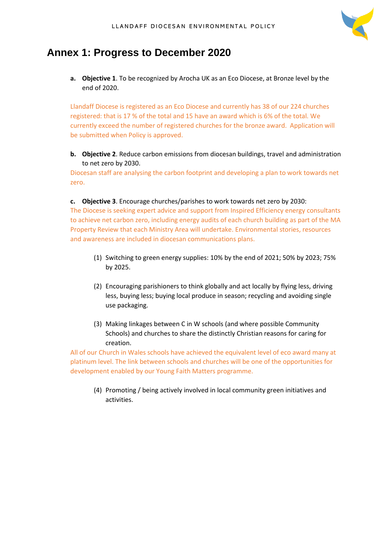

## <span id="page-7-0"></span>**Annex 1: Progress to December 2020**

**a. Objective 1**. To be recognized by Arocha UK as an Eco Diocese, at Bronze level by the end of 2020.

Llandaff Diocese is registered as an Eco Diocese and currently has 38 of our 224 churches registered: that is 17 % of the total and 15 have an award which is 6% of the total. We currently exceed the number of registered churches for the bronze award. Application will be submitted when Policy is approved.

#### **b. Objective 2**. Reduce carbon emissions from diocesan buildings, travel and administration to net zero by 2030.

Diocesan staff are analysing the carbon footprint and developing a plan to work towards net zero.

#### **c. Objective 3**. Encourage churches/parishes to work towards net zero by 2030:

The Diocese is seeking expert advice and support from Inspired Efficiency energy consultants to achieve net carbon zero, including energy audits of each church building as part of the MA Property Review that each Ministry Area will undertake. Environmental stories, resources and awareness are included in diocesan communications plans.

- (1) Switching to green energy supplies: 10% by the end of 2021; 50% by 2023; 75% by 2025.
- (2) Encouraging parishioners to think globally and act locally by flying less, driving less, buying less; buying local produce in season; recycling and avoiding single use packaging.
- (3) Making linkages between C in W schools (and where possible Community Schools) and churches to share the distinctly Christian reasons for caring for creation.

All of our Church in Wales schools have achieved the equivalent level of eco award many at platinum level. The link between schools and churches will be one of the opportunities for development enabled by our Young Faith Matters programme.

(4) Promoting / being actively involved in local community green initiatives and activities.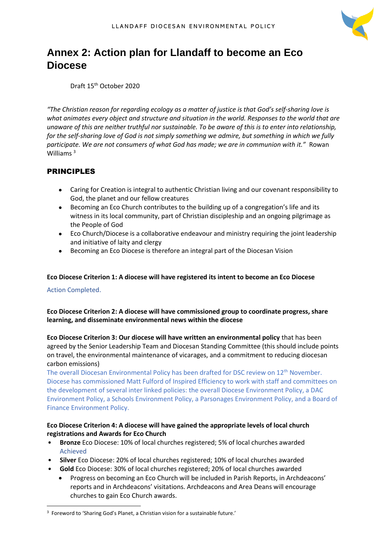

## <span id="page-8-0"></span>**Annex 2: Action plan for Llandaff to become an Eco Diocese**

Draft 15th October 2020

*"The Christian reason for regarding ecology as a matter of justice is that God's self-sharing love is what animates every object and structure and situation in the world. Responses to the world that are unaware of this are neither truthful nor sustainable. To be aware of this is to enter into relationship, for the self-sharing love of God is not simply something we admire, but something in which we fully participate. We are not consumers of what God has made; we are in communion with it.*" Rowan Williams<sup>3</sup>

#### PRINCIPLES

- Caring for Creation is integral to authentic Christian living and our covenant responsibility to God, the planet and our fellow creatures
- Becoming an Eco Church contributes to the building up of a congregation's life and its witness in its local community, part of Christian discipleship and an ongoing pilgrimage as the People of God
- Eco Church/Diocese is a collaborative endeavour and ministry requiring the joint leadership and initiative of laity and clergy
- Becoming an Eco Diocese is therefore an integral part of the Diocesan Vision

#### **Eco Diocese Criterion 1: A diocese will have registered its intent to become an Eco Diocese**

#### Action Completed.

**Eco Diocese Criterion 2: A diocese will have commissioned group to coordinate progress, share learning, and disseminate environmental news within the diocese**

**Eco Diocese Criterion 3: Our diocese will have written an environmental policy** that has been agreed by the Senior Leadership Team and Diocesan Standing Committee (this should include points on travel, the environmental maintenance of vicarages, and a commitment to reducing diocesan carbon emissions)

The overall Diocesan Environmental Policy has been drafted for DSC review on 12<sup>th</sup> November. Diocese has commissioned Matt Fulford of Inspired Efficiency to work with staff and committees on the development of several inter linked policies: the overall Diocese Environment Policy, a DAC Environment Policy, a Schools Environment Policy, a Parsonages Environment Policy, and a Board of Finance Environment Policy.

#### **Eco Diocese Criterion 4: A diocese will have gained the appropriate levels of local church registrations and Awards for Eco Church**

- **Bronze** Eco Diocese: 10% of local churches registered; 5% of local churches awarded Achieved
- **Silver** Eco Diocese: 20% of local churches registered; 10% of local churches awarded
- **Gold** Eco Diocese: 30% of local churches registered; 20% of local churches awarded
	- Progress on becoming an Eco Church will be included in Parish Reports, in Archdeacons' reports and in Archdeacons' visitations. Archdeacons and Area Deans will encourage churches to gain Eco Church awards.

<sup>&</sup>lt;sup>3</sup> Foreword to 'Sharing God's Planet, a Christian vision for a sustainable future.'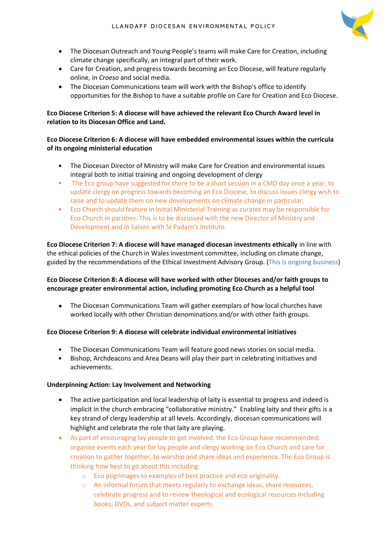

- The Diocesan Outreach and Young People's teams will make Care for Creation, including climate change specifically, an integral part of their work.
- Care for Creation, and progress towards becoming an Eco Diocese, will feature regularly online, in *Croeso* and social media.
- The Diocesan Communications team will work with the Bishop's office to identify opportunities for the Bishop to have a suitable profile on Care for Creation and Eco Diocese.

#### **Eco Diocese Criterion 5: A diocese will have achieved the relevant Eco Church Award level in relation to its Diocesan Office and Land.**

#### **Eco Diocese Criterion 6: A diocese will have embedded environmental issues within the curricula of its ongoing ministerial education**

- The Diocesan Director of Ministry will make Care for Creation and environmental issues integral both to initial training and ongoing development of clergy
- The Eco group have suggested for there to be a short session in a CMD day once a year, to update clergy on progress towards becoming an Eco Diocese, to discuss issues clergy wish to raise and to update them on new developments on climate change in particular.
- Eco Church should feature in Initial Ministerial Training as curates may be responsible for Eco Church in parishes. This is to be discussed with the new Director of Ministry and Development and in liaison with St Padarn's Institute.

**Eco Diocese Criterion 7: A diocese will have managed diocesan investments ethically** in line with the ethical policies of the Church in Wales investment committee, including on climate change, guided by the recommendations of the Ethical Investment Advisory Group. (This is ongoing business)

#### **Eco Diocese Criterion 8: A diocese will have worked with other Dioceses and/or faith groups to encourage greater environmental action, including promoting Eco Church as a helpful tool**

• The Diocesan Communications Team will gather exemplars of how local churches have worked locally with other Christian denominations and/or with other faith groups.

#### **Eco Diocese Criterion 9: A diocese will celebrate individual environmental initiatives**

- The Diocesan Communications Team will feature good news stories on social media.
- Bishop, Archdeacons and Area Deans will play their part in celebrating initiatives and achievements.

#### **Underpinning Action: Lay Involvement and Networking**

- The active participation and local leadership of laity is essential to progress and indeed is implicit in the church embracing "collaborative ministry." Enabling laity and their gifts is a key strand of clergy leadership at all levels. Accordingly, diocesan communications will highlight and celebrate the role that laity are playing.
- As part of encouraging lay people to get involved, the Eco Group have recommended: organise events each year for lay people and clergy working on Eco Church and care for creation to gather together, to worship and share ideas and experience. The Eco Group is thinking how best to go about this including:
	- o Eco pilgrimages to examples of best practice and eco originality.
	- o An informal forum that meets regularly to exchange ideas, share resources, celebrate progress and to review theological and ecological resources including books, DVDs, and subject matter experts.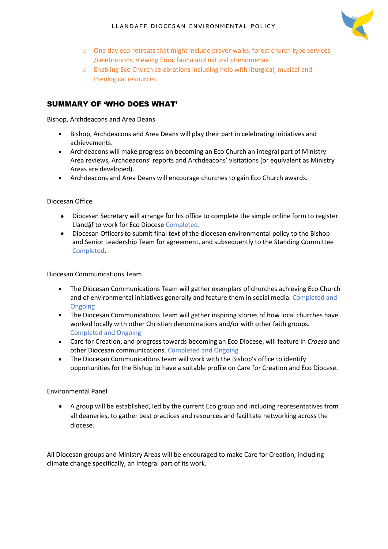

- o One day eco-retreats that might include prayer walks, forest church type services /celebrations, viewing flora, fauna and natural phenomenae.
- o Enabling Eco Church celebrations including help with liturgical, musical and theological resources.

#### SUMMARY OF 'WHO DOES WHAT'

Bishop, Archdeacons and Area Deans

- Bishop, Archdeacons and Area Deans will play their part in celebrating initiatives and achievements.
- Archdeacons will make progress on becoming an Eco Church an integral part of Ministry Area reviews, Archdeacons' reports and Archdeacons' visitations (or equivalent as Ministry Areas are developed).
- Archdeacons and Area Deans will encourage churches to gain Eco Church awards.

#### Diocesan Office

- Diocesan Secretary will arrange for his office to complete the simple online form to register Llandậf to work for Eco Diocese Completed.
- Diocesan Officers to submit final text of the diocesan environmental policy to the Bishop and Senior Leadership Team for agreement, and subsequently to the Standing Committee Completed.

Diocesan Communications Team

- The Diocesan Communications Team will gather exemplars of churches achieving Eco Church and of environmental initiatives generally and feature them in social media. Completed and Ongoing
- The Diocesan Communications Team will gather inspiring stories of how local churches have worked locally with other Christian denominations and/or with other faith groups. Completed and Ongoing
- Care for Creation, and progress towards becoming an Eco Diocese, will feature in *Croeso* and other Diocesan communications. Completed and Ongoing
- The Diocesan Communications team will work with the Bishop's office to identify opportunities for the Bishop to have a suitable profile on Care for Creation and Eco Diocese.

#### Environmental Panel

• A group will be established, led by the current Eco group and including representatives from all deaneries, to gather best practices and resources and facilitate networking across the diocese.

All Diocesan groups and Ministry Areas will be encouraged to make Care for Creation, including climate change specifically, an integral part of its work.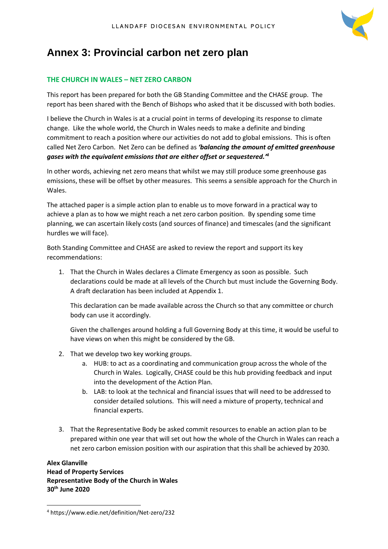

## <span id="page-11-0"></span>**Annex 3: Provincial carbon net zero plan**

#### **THE CHURCH IN WALES – NET ZERO CARBON**

This report has been prepared for both the GB Standing Committee and the CHASE group. The report has been shared with the Bench of Bishops who asked that it be discussed with both bodies.

I believe the Church in Wales is at a crucial point in terms of developing its response to climate change. Like the whole world, the Church in Wales needs to make a definite and binding commitment to reach a position where our activities do not add to global emissions. This is often called Net Zero Carbon. Net Zero can be defined as *'balancing the amount of emitted greenhouse gases with the equivalent emissions that are either offset or sequestered.'<sup>4</sup>*

In other words, achieving net zero means that whilst we may still produce some greenhouse gas emissions, these will be offset by other measures. This seems a sensible approach for the Church in Wales.

The attached paper is a simple action plan to enable us to move forward in a practical way to achieve a plan as to how we might reach a net zero carbon position. By spending some time planning, we can ascertain likely costs (and sources of finance) and timescales (and the significant hurdles we will face).

Both Standing Committee and CHASE are asked to review the report and support its key recommendations:

1. That the Church in Wales declares a Climate Emergency as soon as possible. Such declarations could be made at all levels of the Church but must include the Governing Body. A draft declaration has been included at Appendix 1.

This declaration can be made available across the Church so that any committee or church body can use it accordingly.

Given the challenges around holding a full Governing Body at this time, it would be useful to have views on when this might be considered by the GB.

- 2. That we develop two key working groups.
	- a. HUB: to act as a coordinating and communication group across the whole of the Church in Wales. Logically, CHASE could be this hub providing feedback and input into the development of the Action Plan.
	- b. LAB: to look at the technical and financial issues that will need to be addressed to consider detailed solutions. This will need a mixture of property, technical and financial experts.
- 3. That the Representative Body be asked commit resources to enable an action plan to be prepared within one year that will set out how the whole of the Church in Wales can reach a net zero carbon emission position with our aspiration that this shall be achieved by 2030.

**Alex Glanville Head of Property Services Representative Body of the Church in Wales 30th June 2020**

<sup>4</sup> https://www.edie.net/definition/Net-zero/232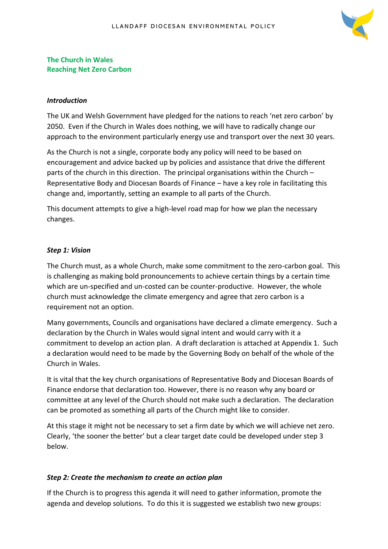

#### **The Church in Wales Reaching Net Zero Carbon**

#### *Introduction*

The UK and Welsh Government have pledged for the nations to reach 'net zero carbon' by 2050. Even if the Church in Wales does nothing, we will have to radically change our approach to the environment particularly energy use and transport over the next 30 years.

As the Church is not a single, corporate body any policy will need to be based on encouragement and advice backed up by policies and assistance that drive the different parts of the church in this direction. The principal organisations within the Church – Representative Body and Diocesan Boards of Finance – have a key role in facilitating this change and, importantly, setting an example to all parts of the Church.

This document attempts to give a high-level road map for how we plan the necessary changes.

#### *Step 1: Vision*

The Church must, as a whole Church, make some commitment to the zero-carbon goal. This is challenging as making bold pronouncements to achieve certain things by a certain time which are un-specified and un-costed can be counter-productive. However, the whole church must acknowledge the climate emergency and agree that zero carbon is a requirement not an option.

Many governments, Councils and organisations have declared a climate emergency. Such a declaration by the Church in Wales would signal intent and would carry with it a commitment to develop an action plan. A draft declaration is attached at Appendix 1. Such a declaration would need to be made by the Governing Body on behalf of the whole of the Church in Wales.

It is vital that the key church organisations of Representative Body and Diocesan Boards of Finance endorse that declaration too. However, there is no reason why any board or committee at any level of the Church should not make such a declaration. The declaration can be promoted as something all parts of the Church might like to consider.

At this stage it might not be necessary to set a firm date by which we will achieve net zero. Clearly, 'the sooner the better' but a clear target date could be developed under step 3 below.

#### *Step 2: Create the mechanism to create an action plan*

If the Church is to progress this agenda it will need to gather information, promote the agenda and develop solutions. To do this it is suggested we establish two new groups: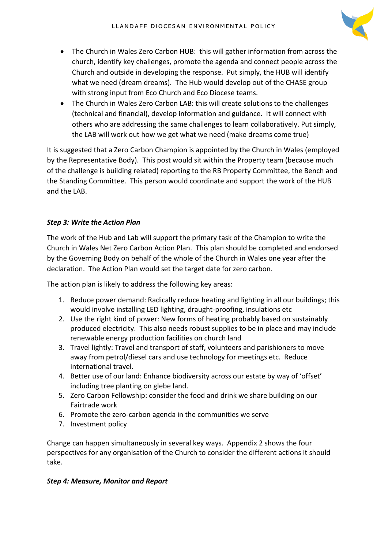

- The Church in Wales Zero Carbon HUB: this will gather information from across the church, identify key challenges, promote the agenda and connect people across the Church and outside in developing the response. Put simply, the HUB will identify what we need (dream dreams). The Hub would develop out of the CHASE group with strong input from Eco Church and Eco Diocese teams.
- The Church in Wales Zero Carbon LAB: this will create solutions to the challenges (technical and financial), develop information and guidance. It will connect with others who are addressing the same challenges to learn collaboratively. Put simply, the LAB will work out how we get what we need (make dreams come true)

It is suggested that a Zero Carbon Champion is appointed by the Church in Wales (employed by the Representative Body). This post would sit within the Property team (because much of the challenge is building related) reporting to the RB Property Committee, the Bench and the Standing Committee. This person would coordinate and support the work of the HUB and the LAB.

#### *Step 3: Write the Action Plan*

The work of the Hub and Lab will support the primary task of the Champion to write the Church in Wales Net Zero Carbon Action Plan. This plan should be completed and endorsed by the Governing Body on behalf of the whole of the Church in Wales one year after the declaration. The Action Plan would set the target date for zero carbon.

The action plan is likely to address the following key areas:

- 1. Reduce power demand: Radically reduce heating and lighting in all our buildings; this would involve installing LED lighting, draught-proofing, insulations etc
- 2. Use the right kind of power: New forms of heating probably based on sustainably produced electricity. This also needs robust supplies to be in place and may include renewable energy production facilities on church land
- 3. Travel lightly: Travel and transport of staff, volunteers and parishioners to move away from petrol/diesel cars and use technology for meetings etc. Reduce international travel.
- 4. Better use of our land: Enhance biodiversity across our estate by way of 'offset' including tree planting on glebe land.
- 5. Zero Carbon Fellowship: consider the food and drink we share building on our Fairtrade work
- 6. Promote the zero-carbon agenda in the communities we serve
- 7. Investment policy

Change can happen simultaneously in several key ways. Appendix 2 shows the four perspectives for any organisation of the Church to consider the different actions it should take.

#### *Step 4: Measure, Monitor and Report*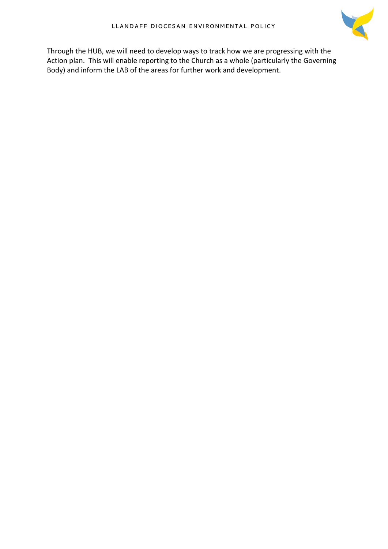

Through the HUB, we will need to develop ways to track how we are progressing with the Action plan. This will enable reporting to the Church as a whole (particularly the Governing Body) and inform the LAB of the areas for further work and development.